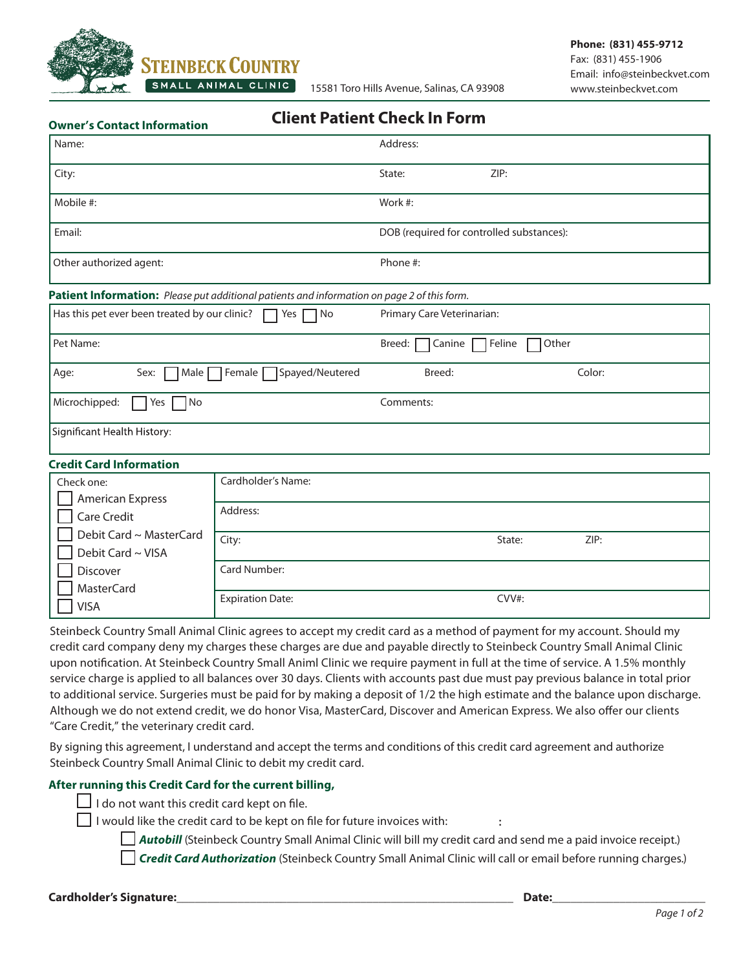

**Owner's Contact Information Client Patient Check In Form**

| Name:                                                                                       |                                  | Address:                                              |                |  |
|---------------------------------------------------------------------------------------------|----------------------------------|-------------------------------------------------------|----------------|--|
| City:                                                                                       |                                  | ZIP:<br>State:                                        |                |  |
| Mobile #:                                                                                   |                                  | Work #:                                               |                |  |
| Email:                                                                                      |                                  | DOB (required for controlled substances):             |                |  |
| Other authorized agent:                                                                     |                                  | Phone #:                                              |                |  |
| Patient Information: Please put additional patients and information on page 2 of this form. |                                  |                                                       |                |  |
| Has this pet ever been treated by our clinic?                                               | $\Box$ Yes $\Box$ No             | Primary Care Veterinarian:                            |                |  |
| Pet Name:                                                                                   |                                  | Other<br>Breed: $\Box$<br>7 Feline<br>Canine $\Gamma$ |                |  |
| Age:<br>Male<br>Sex:                                                                        | Female  <br>Spayed/Neutered      | Breed:                                                | Color:         |  |
| Microchipped:<br>No<br>Yes                                                                  |                                  | Comments:                                             |                |  |
| Significant Health History:                                                                 |                                  |                                                       |                |  |
| <b>Credit Card Information</b>                                                              |                                  |                                                       |                |  |
| Check one:                                                                                  | Cardholder's Name:               |                                                       |                |  |
| <b>American Express</b><br><b>Care Credit</b>                                               | Address:                         |                                                       |                |  |
| Debit Card ~ MasterCard<br>Debit Card ~ VISA                                                | City:                            |                                                       | ZIP:<br>State: |  |
| Discover                                                                                    | Card Number:                     |                                                       |                |  |
| <b>MasterCard</b><br>$\cdots$                                                               | CVV#:<br><b>Expiration Date:</b> |                                                       |                |  |

Steinbeck Country Small Animal Clinic agrees to accept my credit card as a method of payment for my account. Should my credit card company deny my charges these charges are due and payable directly to Steinbeck Country Small Animal Clinic upon notification. At Steinbeck Country Small Animl Clinic we require payment in full at the time of service. A 1.5% monthly service charge is applied to all balances over 30 days. Clients with accounts past due must pay previous balance in total prior to additional service. Surgeries must be paid for by making a deposit of 1/2 the high estimate and the balance upon discharge. Although we do not extend credit, we do honor Visa, MasterCard, Discover and American Express. We also offer our clients "Care Credit," the veterinary credit card.

By signing this agreement, I understand and accept the terms and conditions of this credit card agreement and authorize Steinbeck Country Small Animal Clinic to debit my credit card.

## **After running this Credit Card for the current billing,**

 $\Box$  I do not want this credit card kept on file.

 $\Box$  I would like the credit card to be kept on file for future invoices with:

*Autobill* (Steinbeck Country Small Animal Clinic will bill my credit card and send me a paid invoice receipt.)

*Credit Card Authorization* (Steinbeck Country Small Animal Clinic will call or email before running charges.)

**Cardholder's Signature:\_\_\_\_\_\_\_\_\_\_\_\_\_\_\_\_\_\_\_\_\_\_\_\_\_\_\_\_\_\_\_\_\_\_\_\_\_\_\_\_\_\_\_\_\_\_\_\_\_\_\_\_\_\_\_ Date:\_\_\_\_\_\_\_\_\_\_\_\_\_\_\_\_\_\_\_\_\_\_\_\_\_**

| | | VISA

**:**